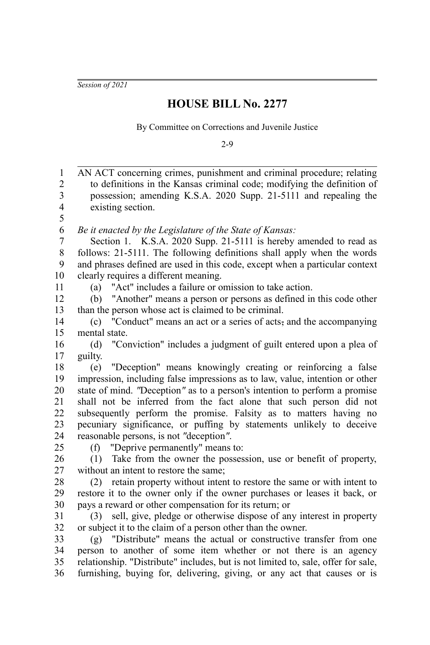*Session of 2021*

## **HOUSE BILL No. 2277**

By Committee on Corrections and Juvenile Justice

2-9

| $\mathbf{1}$   | AN ACT concerning crimes, punishment and criminal procedure; relating             |
|----------------|-----------------------------------------------------------------------------------|
| $\overline{c}$ | to definitions in the Kansas criminal code; modifying the definition of           |
| 3              | possession; amending K.S.A. 2020 Supp. 21-5111 and repealing the                  |
| $\overline{4}$ | existing section.                                                                 |
| 5              |                                                                                   |
| 6              | Be it enacted by the Legislature of the State of Kansas:                          |
| $\overline{7}$ | Section 1. K.S.A. 2020 Supp. 21-5111 is hereby amended to read as                 |
| $8\,$          | follows: 21-5111. The following definitions shall apply when the words            |
| 9              | and phrases defined are used in this code, except when a particular context       |
| 10             | clearly requires a different meaning.                                             |
| 11             | "Act" includes a failure or omission to take action.<br>(a)                       |
| 12             | "Another" means a person or persons as defined in this code other<br>(b)          |
| 13             | than the person whose act is claimed to be criminal.                              |
| 14             | "Conduct" means an act or a series of acts-, and the accompanying<br>(c)          |
| 15             | mental state.                                                                     |
| 16             | "Conviction" includes a judgment of guilt entered upon a plea of<br>(d)           |
| 17             | guilty.                                                                           |
| 18             | "Deception" means knowingly creating or reinforcing a false<br>(e)                |
| 19             | impression, including false impressions as to law, value, intention or other      |
| 20             | state of mind. "Deception" as to a person's intention to perform a promise        |
| 21             | shall not be inferred from the fact alone that such person did not                |
| 22             | subsequently perform the promise. Falsity as to matters having no                 |
| 23             | pecuniary significance, or puffing by statements unlikely to deceive              |
| 24             | reasonable persons, is not "deception".                                           |
| 25             | (f) "Deprive permanently" means to:                                               |
| 26             | Take from the owner the possession, use or benefit of property,<br>(1)            |
| 27             | without an intent to restore the same;                                            |
| 28             | retain property without intent to restore the same or with intent to<br>(2)       |
| 29             | restore it to the owner only if the owner purchases or leases it back, or         |
| 30             | pays a reward or other compensation for its return; or                            |
| 31             | sell, give, pledge or otherwise dispose of any interest in property<br>(3)        |
| 32             | or subject it to the claim of a person other than the owner.                      |
| 33             | (g) "Distribute" means the actual or constructive transfer from one               |
| 34             | person to another of some item whether or not there is an agency                  |
| 35             | relationship. "Distribute" includes, but is not limited to, sale, offer for sale, |
| 36             | furnishing, buying for, delivering, giving, or any act that causes or is          |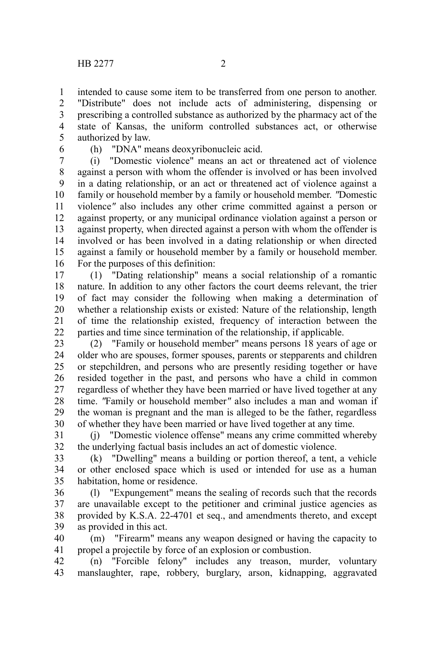intended to cause some item to be transferred from one person to another. "Distribute" does not include acts of administering, dispensing or prescribing a controlled substance as authorized by the pharmacy act of the state of Kansas, the uniform controlled substances act, or otherwise authorized by law. 1 2 3 4 5

6

(h) "DNA" means deoxyribonucleic acid.

(i) "Domestic violence" means an act or threatened act of violence against a person with whom the offender is involved or has been involved in a dating relationship, or an act or threatened act of violence against a family or household member by a family or household member. *"*Domestic violence*"* also includes any other crime committed against a person or against property, or any municipal ordinance violation against a person or against property, when directed against a person with whom the offender is involved or has been involved in a dating relationship or when directed against a family or household member by a family or household member. For the purposes of this definition: 7 8 9 10 11 12 13 14 15 16

(1) "Dating relationship" means a social relationship of a romantic nature. In addition to any other factors the court deems relevant, the trier of fact may consider the following when making a determination of whether a relationship exists or existed: Nature of the relationship, length of time the relationship existed, frequency of interaction between the parties and time since termination of the relationship, if applicable. 17 18 19 20 21 22

(2) "Family or household member" means persons 18 years of age or older who are spouses, former spouses, parents or stepparents and children or stepchildren, and persons who are presently residing together or have resided together in the past, and persons who have a child in common regardless of whether they have been married or have lived together at any time. *"*Family or household member*"* also includes a man and woman if the woman is pregnant and the man is alleged to be the father, regardless of whether they have been married or have lived together at any time. 23 24 25 26 27 28 29 30

(j) "Domestic violence offense" means any crime committed whereby the underlying factual basis includes an act of domestic violence. 31 32

(k) "Dwelling" means a building or portion thereof, a tent, a vehicle or other enclosed space which is used or intended for use as a human habitation, home or residence. 33 34 35

(l) "Expungement" means the sealing of records such that the records are unavailable except to the petitioner and criminal justice agencies as provided by K.S.A. 22-4701 et seq., and amendments thereto, and except as provided in this act. 36 37 38 39

(m) "Firearm" means any weapon designed or having the capacity to propel a projectile by force of an explosion or combustion. 40 41

(n) "Forcible felony" includes any treason, murder, voluntary manslaughter, rape, robbery, burglary, arson, kidnapping, aggravated 42 43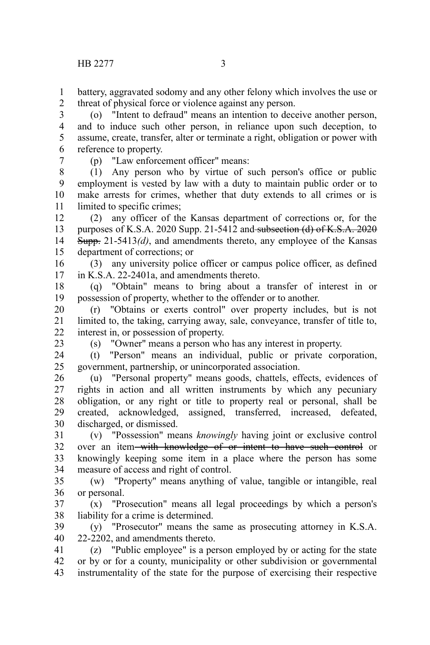battery, aggravated sodomy and any other felony which involves the use or threat of physical force or violence against any person. 1 2

(o) "Intent to defraud" means an intention to deceive another person, and to induce such other person, in reliance upon such deception, to assume, create, transfer, alter or terminate a right, obligation or power with reference to property. 3 4 5 6

7

(p) "Law enforcement officer" means:

(1) Any person who by virtue of such person's office or public employment is vested by law with a duty to maintain public order or to make arrests for crimes, whether that duty extends to all crimes or is limited to specific crimes; 8 9 10 11

(2) any officer of the Kansas department of corrections or, for the purposes of K.S.A. 2020 Supp. 21-5412 and subsection (d) of K.S.A.  $2020$ Supp. 21-5413*(d)*, and amendments thereto, any employee of the Kansas department of corrections; or 12 13 14 15

(3) any university police officer or campus police officer, as defined in K.S.A. 22-2401a, and amendments thereto. 16 17

(q) "Obtain" means to bring about a transfer of interest in or possession of property, whether to the offender or to another. 18 19

(r) "Obtains or exerts control" over property includes, but is not limited to, the taking, carrying away, sale, conveyance, transfer of title to, interest in, or possession of property. 20 21 22

23

(s) "Owner" means a person who has any interest in property.

(t) "Person" means an individual, public or private corporation, government, partnership, or unincorporated association. 24 25

(u) "Personal property" means goods, chattels, effects, evidences of rights in action and all written instruments by which any pecuniary obligation, or any right or title to property real or personal, shall be created, acknowledged, assigned, transferred, increased, defeated, discharged, or dismissed. 26 27 28 29 30

(v) "Possession" means *knowingly* having joint or exclusive control over an item with knowledge of or intent to have such control or knowingly keeping some item in a place where the person has some measure of access and right of control. 31 32 33 34

(w) "Property" means anything of value, tangible or intangible, real or personal. 35 36

(x) "Prosecution" means all legal proceedings by which a person's liability for a crime is determined. 37 38

(y) "Prosecutor" means the same as prosecuting attorney in K.S.A. 22-2202, and amendments thereto. 39 40

(z) "Public employee" is a person employed by or acting for the state or by or for a county, municipality or other subdivision or governmental instrumentality of the state for the purpose of exercising their respective 41 42 43